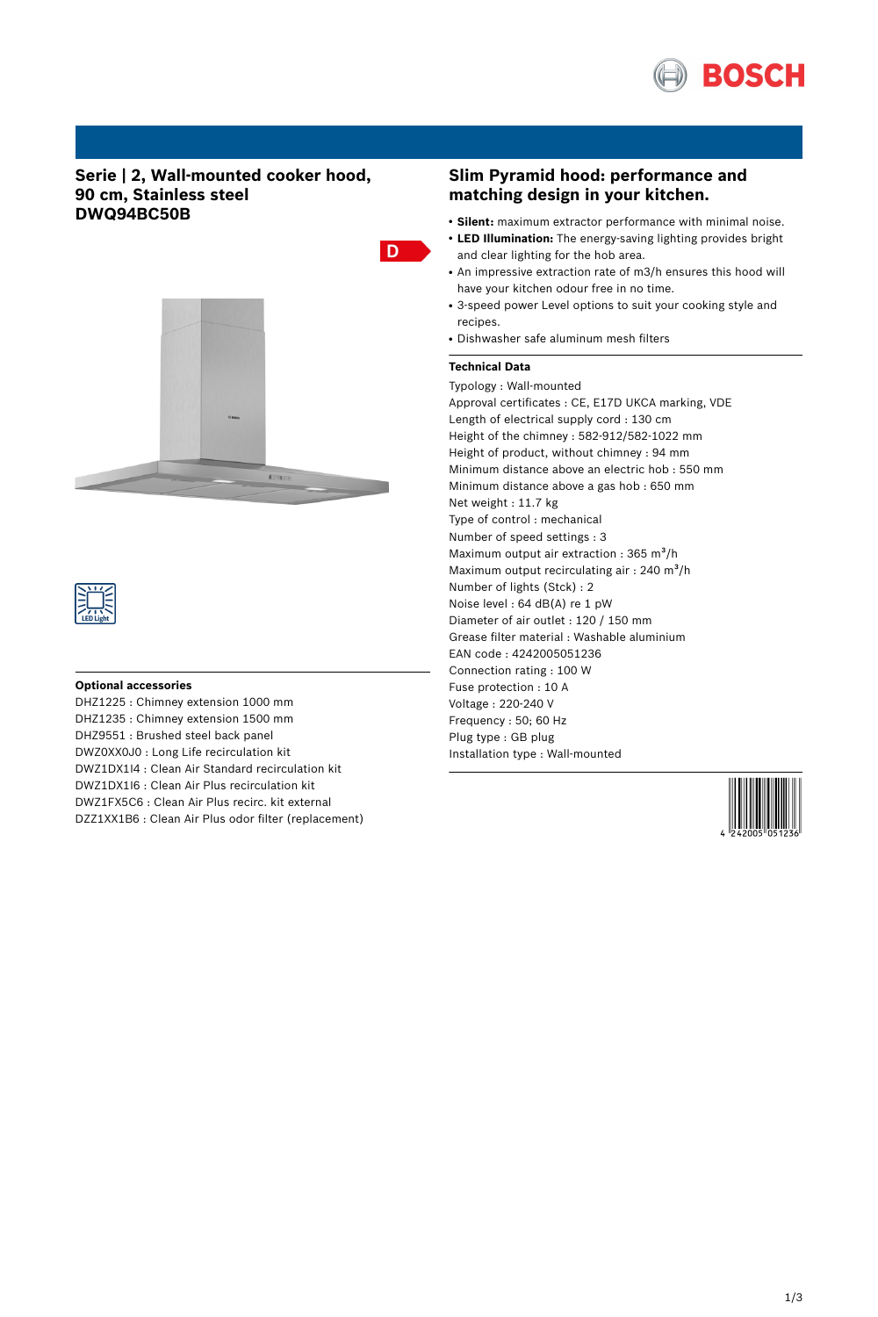

# **Serie | 2, Wall-mounted cooker hood, 90 cm, Stainless steel DWQ94BC50B**





#### **Optional accessories**

DHZ1225 : Chimney extension 1000 mm DHZ1235 : Chimney extension 1500 mm DHZ9551 : Brushed steel back panel DWZ0XX0J0 : Long Life recirculation kit DWZ1DX1I4 : Clean Air Standard recirculation kit DWZ1DX1I6 : Clean Air Plus recirculation kit DWZ1FX5C6 : Clean Air Plus recirc. kit external DZZ1XX1B6 : Clean Air Plus odor filter (replacement)

# **Slim Pyramid hood: performance and matching design in your kitchen.**

- **Silent:** maximum extractor performance with minimal noise.
- LED Illumination: The energy-saving lighting provides bright and clear lighting for the hob area.
- An impressive extraction rate of m3/h ensures this hood will have your kitchen odour free in no time.
- 3-speed power Level options to suit your cooking style and recipes.
- Dishwasher safe aluminum mesh filters

### **Technical Data**

D

Typology : Wall-mounted Approval certificates : CE, E17D UKCA marking, VDE Length of electrical supply cord : 130 cm Height of the chimney : 582-912/582-1022 mm Height of product, without chimney : 94 mm Minimum distance above an electric hob : 550 mm Minimum distance above a gas hob : 650 mm Net weight : 11.7 kg Type of control : mechanical Number of speed settings : 3 Maximum output air extraction :  $365 \text{ m}^3\text{/h}$ Maximum output recirculating air : 240 m<sup>3</sup>/h Number of lights (Stck) : 2 Noise level : 64 dB(A) re 1 pW Diameter of air outlet : 120 / 150 mm Grease filter material : Washable aluminium EAN code : 4242005051236 Connection rating : 100 W Fuse protection : 10 A Voltage : 220-240 V Frequency : 50; 60 Hz Plug type : GB plug Installation type : Wall-mounted

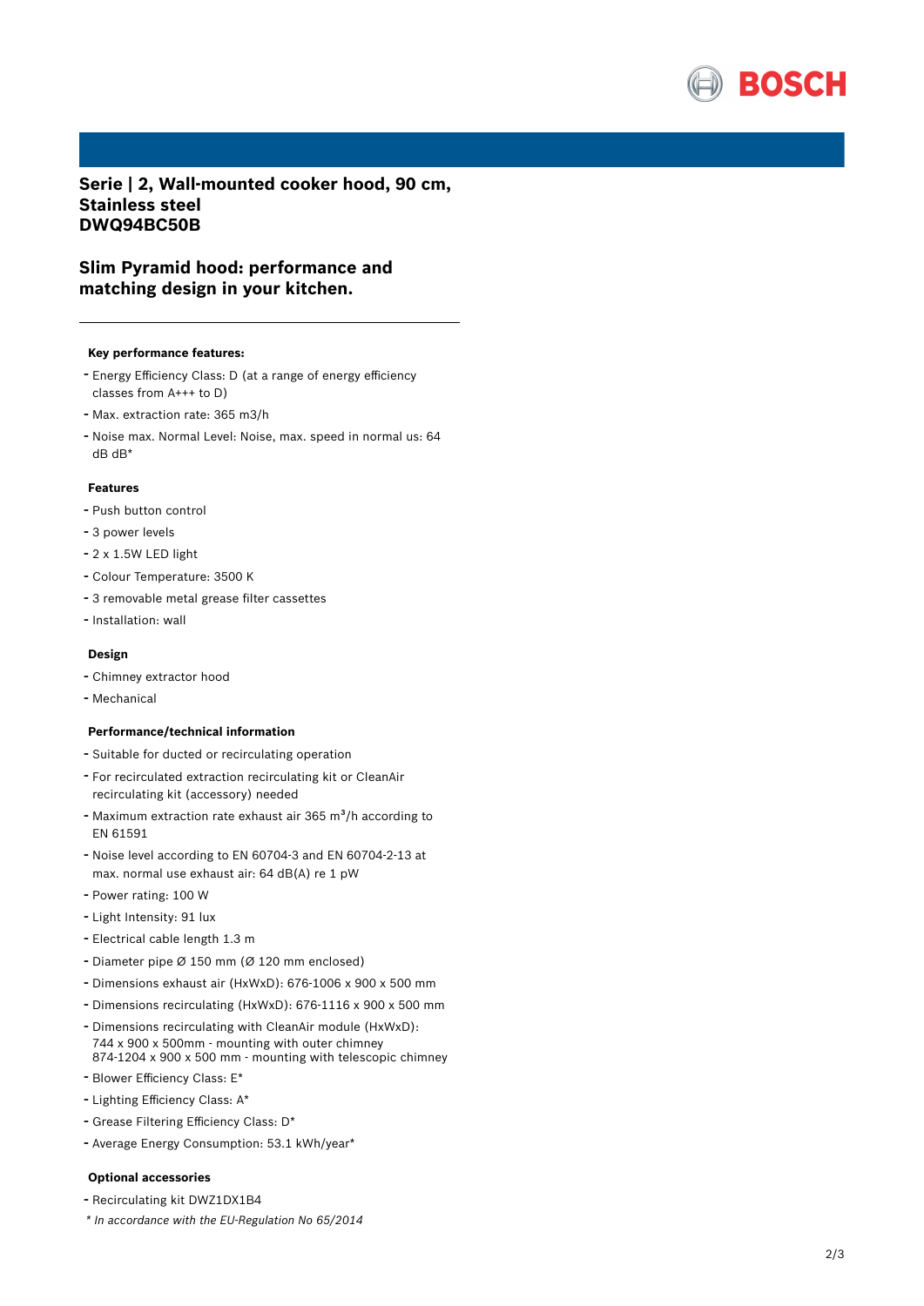

**Serie | 2, Wall-mounted cooker hood, 90 cm, Stainless steel DWQ94BC50B**

# **Slim Pyramid hood: performance and matching design in your kitchen.**

#### **Key performance features:**

- Energy Efficiency Class: <sup>D</sup> (at <sup>a</sup> range of energy efficiency classes from A+++ to D)
- Max. extraction rate: <sup>365</sup> m3/h
- Noise max. Normal Level: Noise, max. speed in normal us: <sup>64</sup> dB dB\*

## **Features**

- Push button control
- <sup>3</sup> power levels
- 2 x 1.5W LED light
- Colour Temperature: <sup>3500</sup> <sup>K</sup>
- <sup>3</sup> removable metal grease filter cassettes
- Installation: wall

#### **Design**

- Chimney extractor hood
- Mechanical

#### **Performance/technical information**

- Suitable for ducted or recirculating operation
- For recirculated extraction recirculating kit or CleanAir recirculating kit (accessory) needed
- Maximum extraction rate exhaust air 365 m<sup>3</sup>/h according to EN 61591
- Noise level according to EN 60704-3 and EN 60704-2-13 at max. normal use exhaust air: 64 dB(A) re 1 pW
- Power rating: <sup>100</sup> <sup>W</sup>
- Light Intensity: <sup>91</sup> lux
- Electrical cable length 1.3 <sup>m</sup>
- Diameter pipe <sup>Ø</sup> <sup>150</sup> mm (Ø <sup>120</sup> mm enclosed)
- Dimensions exhaust air (HxWxD): 676-1006 <sup>x</sup> <sup>900</sup> <sup>x</sup> <sup>500</sup> mm
- Dimensions recirculating (HxWxD): 676-1116 <sup>x</sup> <sup>900</sup> <sup>x</sup> <sup>500</sup> mm
- Dimensions recirculating with CleanAir module (HxWxD): 744 x 900 x 500mm - mounting with outer chimney 874-1204 x 900 x 500 mm - mounting with telescopic chimney
- Blower Efficiency Class: E\*
- Lighting Efficiency Class: A\*
- Grease Filtering Efficiency Class: D\*
- Average Energy Consumption: 53.1 kWh/year\*

### **Optional accessories**

- Recirculating kit DWZ1DX1B4
- *\* In accordance with the EU-Regulation No 65/2014*